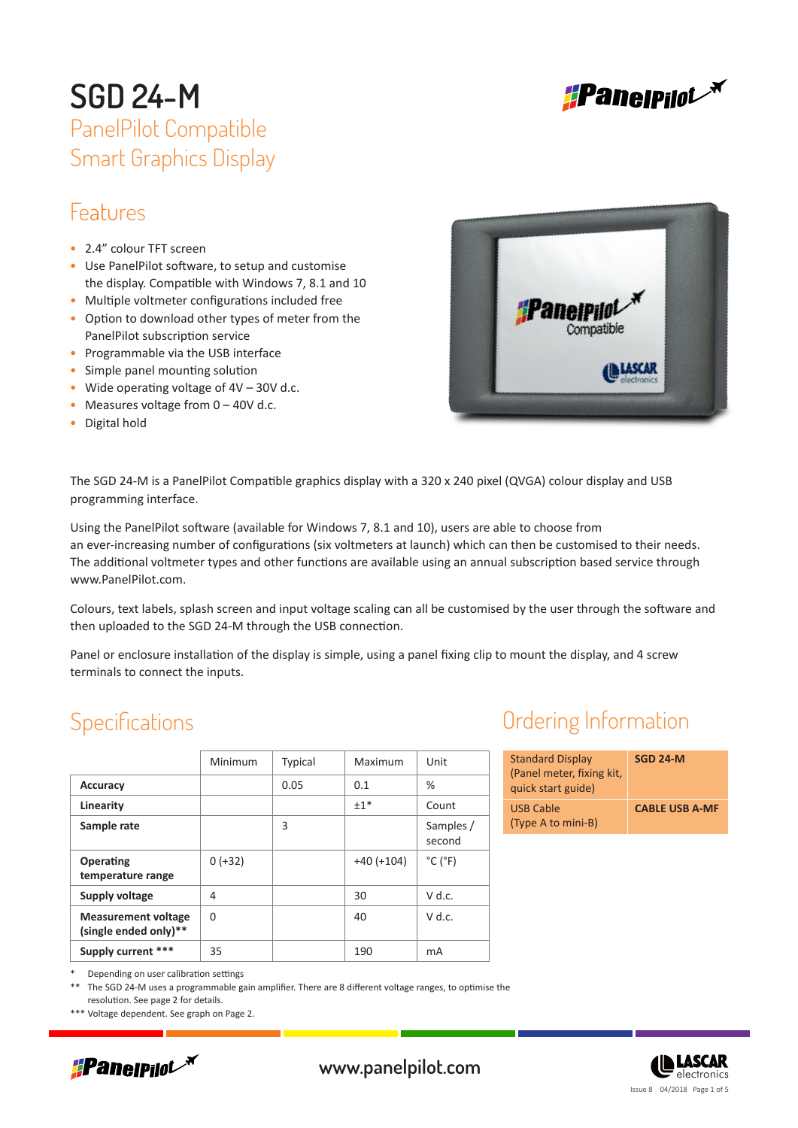

## Features

- 2.4" colour TFT screen
- Use PanelPilot software, to setup and customise the display. Compatible with Windows 7, 8.1 and 10
- Multiple voltmeter configurations included free
- Option to download other types of meter from the PanelPilot subscription service
- Programmable via the USB interface
- Simple panel mounting solution
- Wide operating voltage of  $4V 30V$  d.c.
- Measures voltage from  $0 40V$  d.c.
- Digital hold



The SGD 24-M is a PanelPilot Compatible graphics display with a 320 x 240 pixel (QVGA) colour display and USB programming interface.

Using the PanelPilot software (available for Windows 7, 8.1 and 10), users are able to choose from an ever-increasing number of configurations (six voltmeters at launch) which can then be customised to their needs. The additional voltmeter types and other functions are available using an annual subscription based service through www.PanelPilot.com.

Colours, text labels, splash screen and input voltage scaling can all be customised by the user through the software and then uploaded to the SGD 24-M through the USB connection.

Panel or enclosure installation of the display is simple, using a panel fixing clip to mount the display, and 4 screw terminals to connect the inputs.

### **Specifications**

|                                                     | Minimum   | <b>Typical</b> | Maximum      | Unit                         |
|-----------------------------------------------------|-----------|----------------|--------------|------------------------------|
| <b>Accuracy</b>                                     |           | 0.05           | 0.1          | $\%$                         |
| Linearity                                           |           |                | $±1*$        | Count                        |
| Sample rate                                         |           | 3              |              | Samples /<br>second          |
| Operating<br>temperature range                      | $0 (+32)$ |                | $+40 (+104)$ | $^{\circ}$ C ( $^{\circ}$ F) |
| Supply voltage                                      | 4         |                | 30           | $V$ d.c.                     |
| <b>Measurement voltage</b><br>(single ended only)** | $\Omega$  |                | 40           | $V$ d.c.                     |
| Supply current ***                                  | 35        |                | 190          | mA                           |

## Ordering Information

| <b>Standard Display</b><br>(Panel meter, fixing kit,<br>quick start guide) | SGD 24-M              |
|----------------------------------------------------------------------------|-----------------------|
| <b>USB Cable</b><br>(Type A to mini-B)                                     | <b>CABLE USB A-MF</b> |

Depending on user calibration settings

The SGD 24-M uses a programmable gain amplifier. There are 8 different voltage ranges, to optimise the resolution. See page 2 for details.

\*\*\* Voltage dependent. See graph on Page 2.



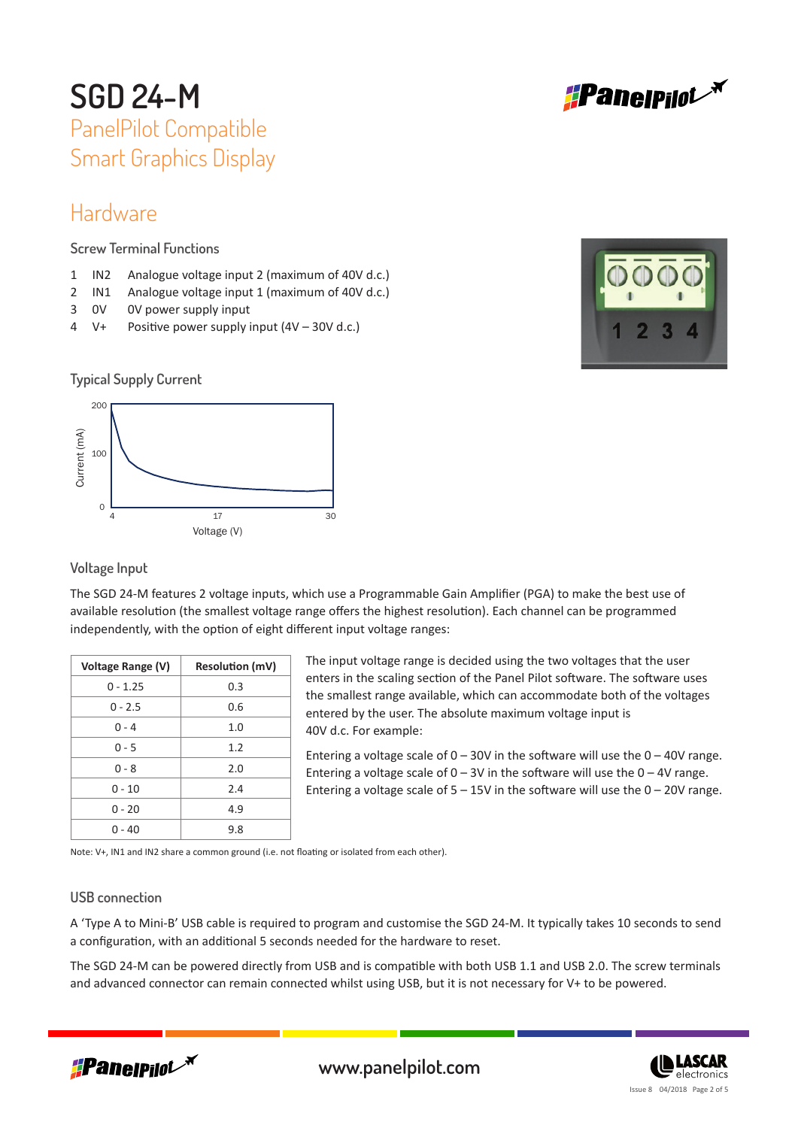

### Hardware

**Screw Terminal Functions**

- 1 IN2 Analogue voltage input 2 (maximum of 40V d.c.)
- 2 IN1 Analogue voltage input 1 (maximum of 40V d.c.)
- 3 0V 0V power supply input
- 4 V+ Positive power supply input (4V 30V d.c.)







#### **Voltage Input**

The SGD 24-M features 2 voltage inputs, which use a Programmable Gain Amplifier (PGA) to make the best use of available resolution (the smallest voltage range offers the highest resolution). Each channel can be programmed independently, with the option of eight different input voltage ranges:

| Voltage Range (V) | <b>Resolution (mV)</b> |
|-------------------|------------------------|
| $0 - 1.25$        | 0.3                    |
| $0 - 2.5$         | 0.6                    |
| $0 - 4$           | 1.0                    |
| $0 - 5$           | 1.2                    |
| $0 - 8$           | 2.0                    |
| $0 - 10$          | 7.4                    |
| $0 - 20$          | 4.9                    |
| 0 - 40            | 9.8                    |

The input voltage range is decided using the two voltages that the user enters in the scaling section of the Panel Pilot software. The software uses the smallest range available, which can accommodate both of the voltages entered by the user. The absolute maximum voltage input is 40V d.c. For example:

Entering a voltage scale of  $0 - 30V$  in the software will use the  $0 - 40V$  range. Entering a voltage scale of  $0 - 3V$  in the software will use the  $0 - 4V$  range. Entering a voltage scale of  $5 - 15V$  in the software will use the  $0 - 20V$  range.

Note: V+, IN1 and IN2 share a common ground (i.e. not floating or isolated from each other).

#### **USB connection**

A 'Type A to Mini-B' USB cable is required to program and customise the SGD 24-M. It typically takes 10 seconds to send a configuration, with an additional 5 seconds needed for the hardware to reset.

The SGD 24-M can be powered directly from USB and is compatible with both USB 1.1 and USB 2.0. The screw terminals and advanced connector can remain connected whilst using USB, but it is not necessary for V+ to be powered.



www.panelpilot.com

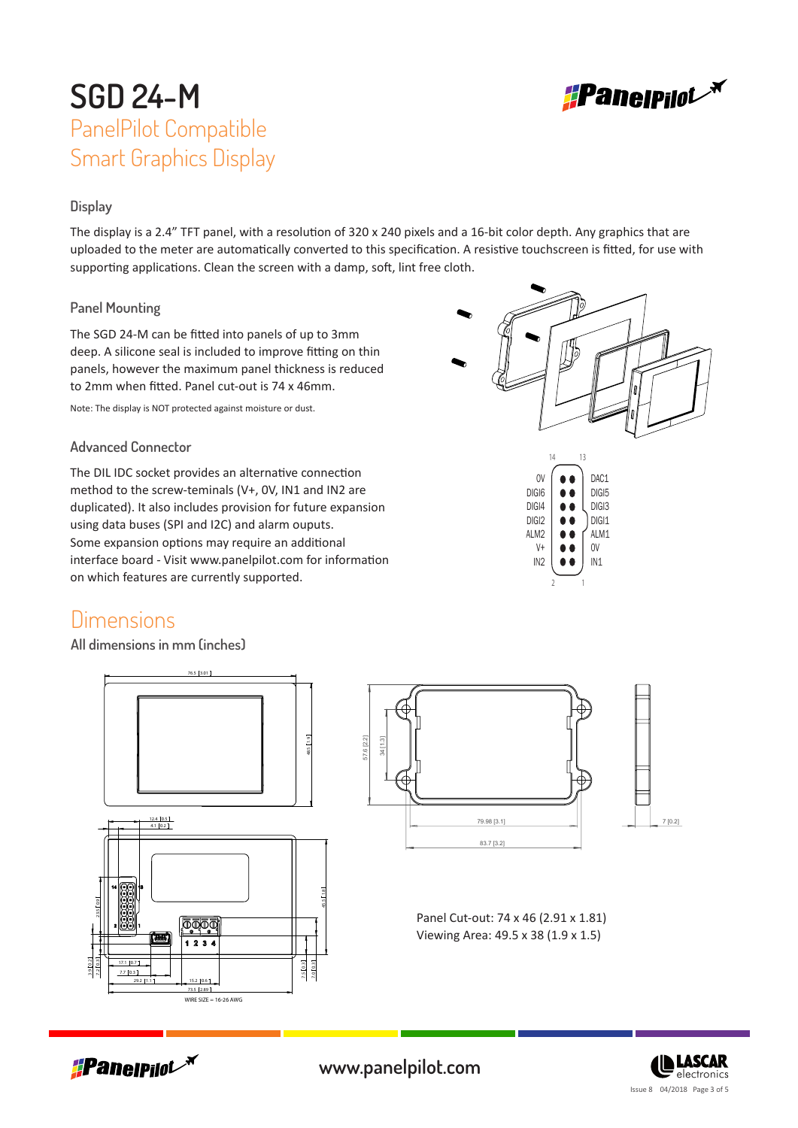#### **Display**

The display is a 2.4" TFT panel, with a resolution of 320 x 240 pixels and a 16-bit color depth. Any graphics that are uploaded to the meter are automatically converted to this specification. A resistive touchscreen is fitted, for use with supporting applications. Clean the screen with a damp, soft, lint free cloth.

#### **Panel Mounting**

The SGD 24-M can be fitted into panels of up to 3mm deep. A silicone seal is included to improve fitting on thin panels, however the maximum panel thickness is reduced to 2mm when fitted. Panel cut-out is 74 x 46mm.

Note: The display is NOT protected against moisture or dust.

#### **Advanced Connector**

The DIL IDC socket provides an alternative connection method to the screw-teminals (V+, 0V, IN1 and IN2 are duplicated). It also includes provision for future expansion using data buses (SPI and I2C) and alarm ouputs. Some expansion options may require an additional interface board - Visit www.panelpilot.com for information on which features are currently supported.

### **Dimensions**

**All dimensions in mm (inches)**





2 1







www.panelpilot.com **CE LASCAR**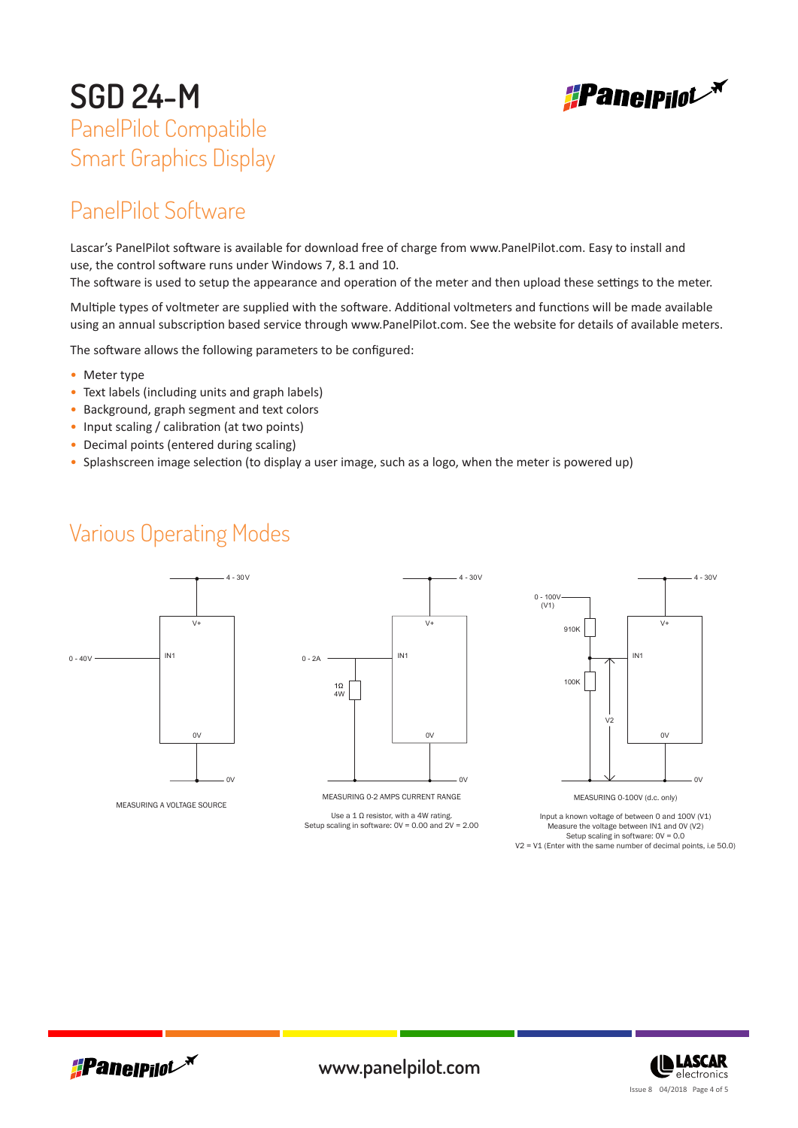

## PanelPilot Software

Lascar's PanelPilot software is available for download free of charge from www.PanelPilot.com. Easy to install and use, the control software runs under Windows 7, 8.1 and 10.

The software is used to setup the appearance and operation of the meter and then upload these settings to the meter.

Multiple types of voltmeter are supplied with the software. Additional voltmeters and functions will be made available using an annual subscription based service through www.PanelPilot.com. See the website for details of available meters.

The software allows the following parameters to be configured:

- Meter type
- Text labels (including units and graph labels)
- Background, graph segment and text colors
- Input scaling / calibration (at two points)
- Decimal points (entered during scaling)
- Splashscreen image selection (to display a user image, such as a logo, when the meter is powered up)

### Various Operating Modes



MEASURING A VOLTAGE SOURCE



MEASURING 0-2 AMPS CURRENT RANGE

Use a 1  $\Omega$  resistor, with a 4W rating. Setup scaling in software: 0V = 0.00 and 2V = 2.00



MEASURING 0-100V (d.c. only)

Input a known voltage of between 0 and 100V (V1) Measure the voltage between IN1 and 0V (V2) Setup scaling in software: 0V = 0.0 V2 = V1 (Enter with the same number of decimal points, i.e 50.0)